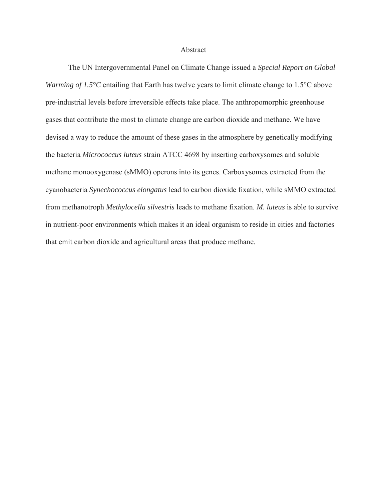## Abstract

The UN Intergovernmental Panel on Climate Change issued a *Special Report on Global Warming of 1.5°C* entailing that Earth has twelve years to limit climate change to 1.5°C above pre-industrial levels before irreversible effects take place. The anthropomorphic greenhouse gases that contribute the most to climate change are carbon dioxide and methane. We have devised a way to reduce the amount of these gases in the atmosphere by genetically modifying the bacteria *Micrococcus luteus* strain ATCC 4698 by inserting carboxysomes and soluble methane monooxygenase (sMMO) operons into its genes. Carboxysomes extracted from the cyanobacteria *Synechococcus elongatus* lead to carbon dioxide fixation, while sMMO extracted from methanotroph *Methylocella silvestris* leads to methane fixation. *M. luteus* is able to survive in nutrient-poor environments which makes it an ideal organism to reside in cities and factories that emit carbon dioxide and agricultural areas that produce methane.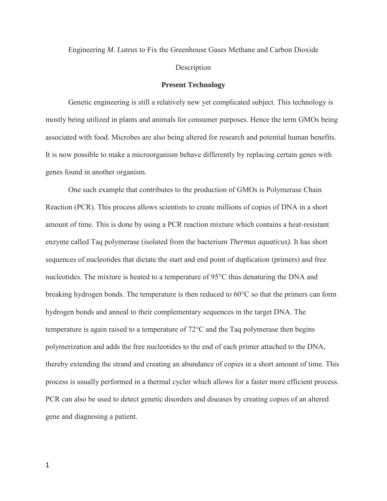Engineering *M. Luteus* to Fix the Greenhouse Gases Methane and Carbon Dioxide Description

## **Present Technology**

Genetic engineering is still a relatively new yet complicated subject. This technology is mostly being utilized in plants and animals for consumer purposes. Hence the term GMOs being associated with food. Microbes are also being altered for research and potential human benefits. It is now possible to make a microorganism behave differently by replacing certain genes with genes found in another organism.

One such example that contributes to the production of GMOs is Polymerase Chain Reaction (PCR). This process allows scientists to create millions of copies of DNA in a short amount of time. This is done by using a PCR reaction mixture which contains a heat-resistant enzyme called Taq polymerase (isolated from the bacterium *Thermus aquaticus).* It has short sequences of nucleotides that dictate the start and end point of duplication (primers) and free nucleotides. The mixture is heated to a temperature of 95°C thus denaturing the DNA and breaking hydrogen bonds. The temperature is then reduced to 60°C so that the primers can form hydrogen bonds and anneal to their complementary sequences in the target DNA. The temperature is again raised to a temperature of 72°C and the Taq polymerase then begins polymerization and adds the free nucleotides to the end of each primer attached to the DNA, thereby extending the strand and creating an abundance of copies in a short amount of time. This process is usually performed in a thermal cycler which allows for a faster more efficient process. PCR can also be used to detect genetic disorders and diseases by creating copies of an altered gene and diagnosing a patient.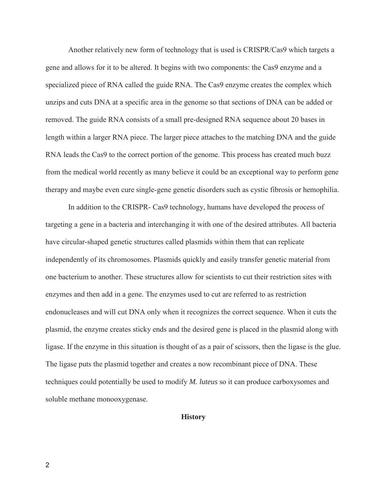Another relatively new form of technology that is used is CRISPR/Cas9 which targets a gene and allows for it to be altered. It begins with two components: the Cas9 enzyme and a specialized piece of RNA called the guide RNA. The Cas9 enzyme creates the complex which unzips and cuts DNA at a specific area in the genome so that sections of DNA can be added or removed. The guide RNA consists of a small pre-designed RNA sequence about 20 bases in length within a larger RNA piece. The larger piece attaches to the matching DNA and the guide RNA leads the Cas9 to the correct portion of the genome. This process has created much buzz from the medical world recently as many believe it could be an exceptional way to perform gene therapy and maybe even cure single-gene genetic disorders such as cystic fibrosis or hemophilia.

In addition to the CRISPR- Cas9 technology, humans have developed the process of targeting a gene in a bacteria and interchanging it with one of the desired attributes. All bacteria have circular-shaped genetic structures called plasmids within them that can replicate independently of its chromosomes. Plasmids quickly and easily transfer genetic material from one bacterium to another. These structures allow for scientists to cut their restriction sites with enzymes and then add in a gene. The enzymes used to cut are referred to as restriction endonucleases and will cut DNA only when it recognizes the correct sequence. When it cuts the plasmid, the enzyme creates sticky ends and the desired gene is placed in the plasmid along with ligase. If the enzyme in this situation is thought of as a pair of scissors, then the ligase is the glue. The ligase puts the plasmid together and creates a now recombinant piece of DNA. These techniques could potentially be used to modify *M. luteus* so it can produce carboxysomes and soluble methane monooxygenase.

## **History**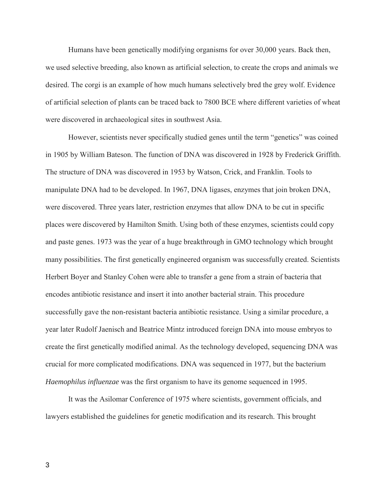Humans have been genetically modifying organisms for over 30,000 years. Back then, we used selective breeding, also known as artificial selection, to create the crops and animals we desired. The corgi is an example of how much humans selectively bred the grey wolf. Evidence of artificial selection of plants can be traced back to 7800 BCE where different varieties of wheat were discovered in archaeological sites in southwest Asia.

However, scientists never specifically studied genes until the term "genetics" was coined in 1905 by William Bateson. The function of DNA was discovered in 1928 by Frederick Griffith. The structure of DNA was discovered in 1953 by Watson, Crick, and Franklin. Tools to manipulate DNA had to be developed. In 1967, DNA ligases, enzymes that join broken DNA, were discovered. Three years later, restriction enzymes that allow DNA to be cut in specific places were discovered by Hamilton Smith. Using both of these enzymes, scientists could copy and paste genes. 1973 was the year of a huge breakthrough in GMO technology which brought many possibilities. The first genetically engineered organism was successfully created. Scientists Herbert Boyer and Stanley Cohen were able to transfer a gene from a strain of bacteria that encodes antibiotic resistance and insert it into another bacterial strain. This procedure successfully gave the non-resistant bacteria antibiotic resistance. Using a similar procedure, a year later Rudolf Jaenisch and Beatrice Mintz introduced foreign DNA into mouse embryos to create the first genetically modified animal. As the technology developed, sequencing DNA was crucial for more complicated modifications. DNA was sequenced in 1977, but the bacterium *Haemophilus influenzae* was the first organism to have its genome sequenced in 1995.

It was the Asilomar Conference of 1975 where scientists, government officials, and lawyers established the guidelines for genetic modification and its research. This brought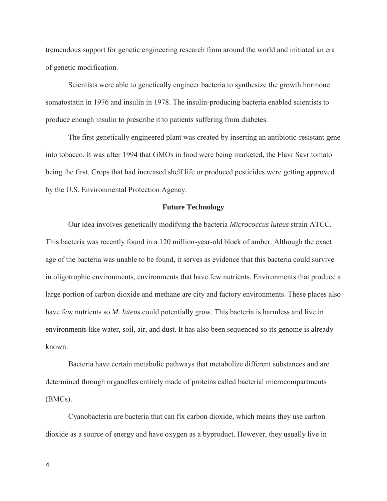tremendous support for genetic engineering research from around the world and initiated an era of genetic modification.

Scientists were able to genetically engineer bacteria to synthesize the growth hormone somatostatin in 1976 and insulin in 1978. The insulin-producing bacteria enabled scientists to produce enough insulin to prescribe it to patients suffering from diabetes.

The first genetically engineered plant was created by inserting an antibiotic-resistant gene into tobacco. It was after 1994 that GMOs in food were being marketed, the Flavr Savr tomato being the first. Crops that had increased shelf life or produced pesticides were getting approved by the U.S. Environmental Protection Agency.

## **Future Technology**

Our idea involves genetically modifying the bacteria *Micrococcus luteus* strain ATCC. This bacteria was recently found in a 120 million-year-old block of amber. Although the exact age of the bacteria was unable to be found, it serves as evidence that this bacteria could survive in oligotrophic environments, environments that have few nutrients. Environments that produce a large portion of carbon dioxide and methane are city and factory environments. These places also have few nutrients so *M. luteus* could potentially grow. This bacteria is harmless and live in environments like water, soil, air, and dust. It has also been sequenced so its genome is already known.

Bacteria have certain metabolic pathways that metabolize different substances and are determined through organelles entirely made of proteins called bacterial microcompartments (BMCs).

Cyanobacteria are bacteria that can fix carbon dioxide, which means they use carbon dioxide as a source of energy and have oxygen as a byproduct. However, they usually live in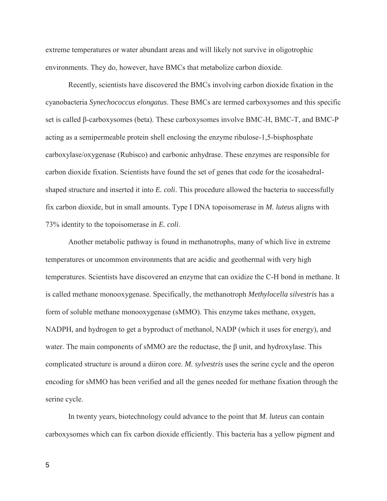extreme temperatures or water abundant areas and will likely not survive in oligotrophic environments. They do, however, have BMCs that metabolize carbon dioxide.

Recently, scientists have discovered the BMCs involving carbon dioxide fixation in the cyanobacteria *Synechococcus elongatus*. These BMCs are termed carboxysomes and this specific set is called β-carboxysomes (beta). These carboxysomes involve BMC-H, BMC-T, and BMC-P acting as a semipermeable protein shell enclosing the enzyme ribulose-1,5-bisphosphate carboxylase/oxygenase (Rubisco) and carbonic anhydrase. These enzymes are responsible for carbon dioxide fixation. Scientists have found the set of genes that code for the icosahedralshaped structure and inserted it into *E. coli*. This procedure allowed the bacteria to successfully fix carbon dioxide, but in small amounts. Type I DNA topoisomerase in *M. luteus* aligns with 73% identity to the topoisomerase in *E. coli*.

Another metabolic pathway is found in methanotrophs, many of which live in extreme temperatures or uncommon environments that are acidic and geothermal with very high temperatures. Scientists have discovered an enzyme that can oxidize the C-H bond in methane. It is called methane monooxygenase. Specifically, the methanotroph *Methylocella silvestris* has a form of soluble methane monooxygenase (sMMO). This enzyme takes methane, oxygen, NADPH, and hydrogen to get a byproduct of methanol, NADP (which it uses for energy), and water. The main components of sMMO are the reductase, the β unit, and hydroxylase. This complicated structure is around a diiron core. *M. sylvestris* uses the serine cycle and the operon encoding for sMMO has been verified and all the genes needed for methane fixation through the serine cycle.

In twenty years, biotechnology could advance to the point that *M. luteus* can contain carboxysomes which can fix carbon dioxide efficiently. This bacteria has a yellow pigment and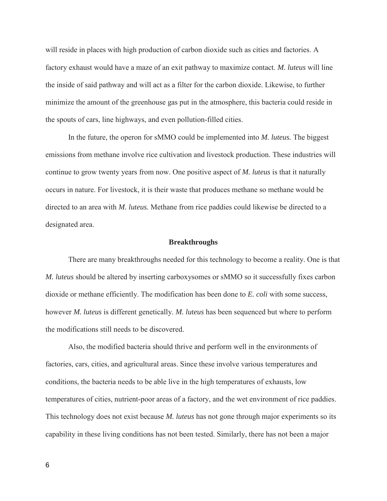will reside in places with high production of carbon dioxide such as cities and factories. A factory exhaust would have a maze of an exit pathway to maximize contact. *M. luteus* will line the inside of said pathway and will act as a filter for the carbon dioxide. Likewise, to further minimize the amount of the greenhouse gas put in the atmosphere, this bacteria could reside in the spouts of cars, line highways, and even pollution-filled cities.

In the future, the operon for sMMO could be implemented into *M. luteus.* The biggest emissions from methane involve rice cultivation and livestock production. These industries will continue to grow twenty years from now. One positive aspect of *M. luteus* is that it naturally occurs in nature. For livestock, it is their waste that produces methane so methane would be directed to an area with *M. luteus.* Methane from rice paddies could likewise be directed to a designated area.

### **Breakthroughs**

There are many breakthroughs needed for this technology to become a reality. One is that *M. luteus* should be altered by inserting carboxysomes or sMMO so it successfully fixes carbon dioxide or methane efficiently. The modification has been done to *E. coli* with some success, however *M. luteus* is different genetically. *M. luteus* has been sequenced but where to perform the modifications still needs to be discovered.

Also, the modified bacteria should thrive and perform well in the environments of factories, cars, cities, and agricultural areas. Since these involve various temperatures and conditions, the bacteria needs to be able live in the high temperatures of exhausts, low temperatures of cities, nutrient-poor areas of a factory, and the wet environment of rice paddies. This technology does not exist because *M. luteus* has not gone through major experiments so its capability in these living conditions has not been tested. Similarly, there has not been a major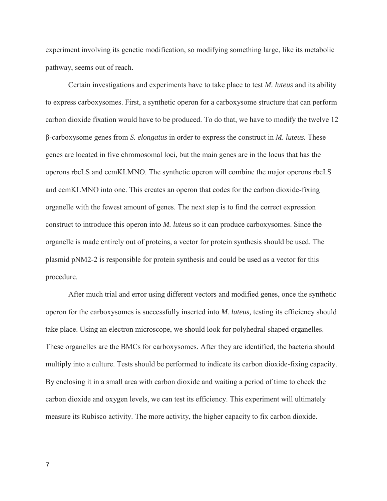experiment involving its genetic modification, so modifying something large, like its metabolic pathway, seems out of reach.

Certain investigations and experiments have to take place to test *M. luteus* and its ability to express carboxysomes. First, a synthetic operon for a carboxysome structure that can perform carbon dioxide fixation would have to be produced. To do that, we have to modify the twelve 12 β-carboxysome genes from *S. elongatus* in order to express the construct in *M. luteus.* These genes are located in five chromosomal loci, but the main genes are in the locus that has the operons rbcLS and ccmKLMNO. The synthetic operon will combine the major operons rbcLS and ccmKLMNO into one. This creates an operon that codes for the carbon dioxide-fixing organelle with the fewest amount of genes. The next step is to find the correct expression construct to introduce this operon into *M. luteus* so it can produce carboxysomes. Since the organelle is made entirely out of proteins, a vector for protein synthesis should be used. The plasmid pNM2-2 is responsible for protein synthesis and could be used as a vector for this procedure.

After much trial and error using different vectors and modified genes, once the synthetic operon for the carboxysomes is successfully inserted into *M. luteus,* testing its efficiency should take place. Using an electron microscope, we should look for polyhedral-shaped organelles. These organelles are the BMCs for carboxysomes. After they are identified, the bacteria should multiply into a culture. Tests should be performed to indicate its carbon dioxide-fixing capacity. By enclosing it in a small area with carbon dioxide and waiting a period of time to check the carbon dioxide and oxygen levels, we can test its efficiency. This experiment will ultimately measure its Rubisco activity. The more activity, the higher capacity to fix carbon dioxide.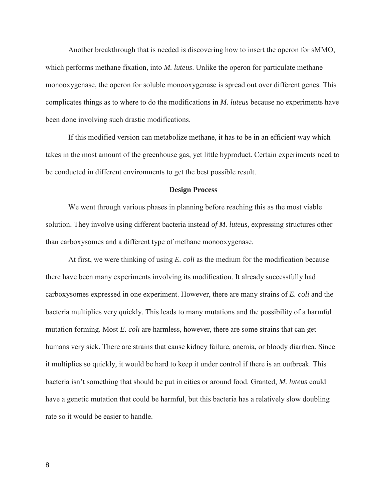Another breakthrough that is needed is discovering how to insert the operon for sMMO, which performs methane fixation, into *M. luteus*. Unlike the operon for particulate methane monooxygenase, the operon for soluble monooxygenase is spread out over different genes. This complicates things as to where to do the modifications in *M. luteus* because no experiments have been done involving such drastic modifications.

If this modified version can metabolize methane, it has to be in an efficient way which takes in the most amount of the greenhouse gas, yet little byproduct. Certain experiments need to be conducted in different environments to get the best possible result.

### **Design Process**

We went through various phases in planning before reaching this as the most viable solution. They involve using different bacteria instead *of M. luteus,* expressing structures other than carboxysomes and a different type of methane monooxygenase.

At first, we were thinking of using *E. coli* as the medium for the modification because there have been many experiments involving its modification. It already successfully had carboxysomes expressed in one experiment. However, there are many strains of *E. coli* and the bacteria multiplies very quickly. This leads to many mutations and the possibility of a harmful mutation forming. Most *E. coli* are harmless, however, there are some strains that can get humans very sick. There are strains that cause kidney failure, anemia, or bloody diarrhea. Since it multiplies so quickly, it would be hard to keep it under control if there is an outbreak. This bacteria isn't something that should be put in cities or around food. Granted, *M. luteus* could have a genetic mutation that could be harmful, but this bacteria has a relatively slow doubling rate so it would be easier to handle.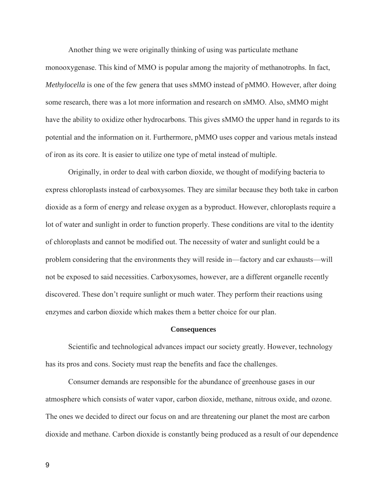Another thing we were originally thinking of using was particulate methane

monooxygenase. This kind of MMO is popular among the majority of methanotrophs. In fact, *Methylocella* is one of the few genera that uses sMMO instead of pMMO. However, after doing some research, there was a lot more information and research on sMMO. Also, sMMO might have the ability to oxidize other hydrocarbons. This gives sMMO the upper hand in regards to its potential and the information on it. Furthermore, pMMO uses copper and various metals instead of iron as its core. It is easier to utilize one type of metal instead of multiple.

Originally, in order to deal with carbon dioxide, we thought of modifying bacteria to express chloroplasts instead of carboxysomes. They are similar because they both take in carbon dioxide as a form of energy and release oxygen as a byproduct. However, chloroplasts require a lot of water and sunlight in order to function properly. These conditions are vital to the identity of chloroplasts and cannot be modified out. The necessity of water and sunlight could be a problem considering that the environments they will reside in—factory and car exhausts—will not be exposed to said necessities. Carboxysomes, however, are a different organelle recently discovered. These don't require sunlight or much water. They perform their reactions using enzymes and carbon dioxide which makes them a better choice for our plan.

### **Consequences**

Scientific and technological advances impact our society greatly. However, technology has its pros and cons. Society must reap the benefits and face the challenges.

Consumer demands are responsible for the abundance of greenhouse gases in our atmosphere which consists of water vapor, carbon dioxide, methane, nitrous oxide, and ozone. The ones we decided to direct our focus on and are threatening our planet the most are carbon dioxide and methane. Carbon dioxide is constantly being produced as a result of our dependence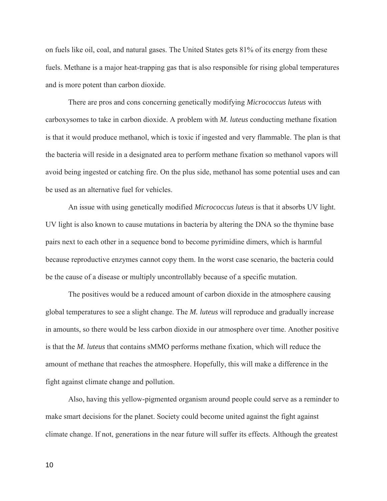on fuels like oil, coal, and natural gases. The United States gets 81% of its energy from these fuels. Methane is a major heat-trapping gas that is also responsible for rising global temperatures and is more potent than carbon dioxide.

There are pros and cons concerning genetically modifying *Micrococcus luteus* with carboxysomes to take in carbon dioxide. A problem with *M. luteus* conducting methane fixation is that it would produce methanol, which is toxic if ingested and very flammable. The plan is that the bacteria will reside in a designated area to perform methane fixation so methanol vapors will avoid being ingested or catching fire. On the plus side, methanol has some potential uses and can be used as an alternative fuel for vehicles.

An issue with using genetically modified *Micrococcus luteus* is that it absorbs UV light. UV light is also known to cause mutations in bacteria by altering the DNA so the thymine base pairs next to each other in a sequence bond to become pyrimidine dimers, which is harmful because reproductive enzymes cannot copy them. In the worst case scenario, the bacteria could be the cause of a disease or multiply uncontrollably because of a specific mutation.

The positives would be a reduced amount of carbon dioxide in the atmosphere causing global temperatures to see a slight change. The *M. luteus* will reproduce and gradually increase in amounts, so there would be less carbon dioxide in our atmosphere over time. Another positive is that the *M. luteus* that contains sMMO performs methane fixation, which will reduce the amount of methane that reaches the atmosphere. Hopefully, this will make a difference in the fight against climate change and pollution.

Also, having this yellow-pigmented organism around people could serve as a reminder to make smart decisions for the planet. Society could become united against the fight against climate change. If not, generations in the near future will suffer its effects. Although the greatest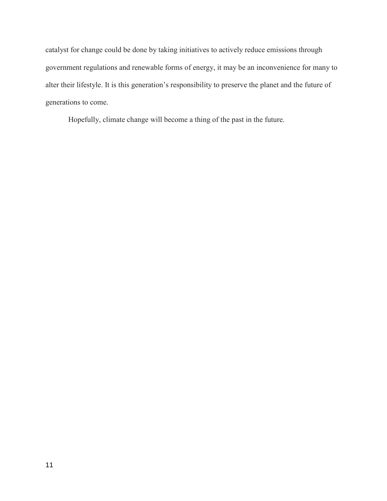catalyst for change could be done by taking initiatives to actively reduce emissions through government regulations and renewable forms of energy, it may be an inconvenience for many to alter their lifestyle. It is this generation's responsibility to preserve the planet and the future of generations to come.

Hopefully, climate change will become a thing of the past in the future.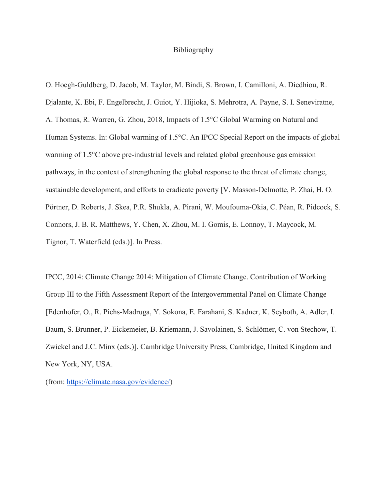## Bibliography

O. Hoegh-Guldberg, D. Jacob, M. Taylor, M. Bindi, S. Brown, I. Camilloni, A. Diedhiou, R. Djalante, K. Ebi, F. Engelbrecht, J. Guiot, Y. Hijioka, S. Mehrotra, A. Payne, S. I. Seneviratne, A. Thomas, R. Warren, G. Zhou, 2018, Impacts of 1.5°C Global Warming on Natural and Human Systems. In: Global warming of 1.5°C. An IPCC Special Report on the impacts of global warming of 1.5°C above pre-industrial levels and related global greenhouse gas emission pathways, in the context of strengthening the global response to the threat of climate change, sustainable development, and efforts to eradicate poverty [V. Masson-Delmotte, P. Zhai, H. O. Pörtner, D. Roberts, J. Skea, P.R. Shukla, A. Pirani, W. Moufouma-Okia, C. Péan, R. Pidcock, S. Connors, J. B. R. Matthews, Y. Chen, X. Zhou, M. I. Gomis, E. Lonnoy, T. Maycock, M. Tignor, T. Waterfield (eds.)]. In Press.

IPCC, 2014: Climate Change 2014: Mitigation of Climate Change. Contribution of Working Group III to the Fifth Assessment Report of the Intergovernmental Panel on Climate Change [Edenhofer, O., R. Pichs-Madruga, Y. Sokona, E. Farahani, S. Kadner, K. Seyboth, A. Adler, I. Baum, S. Brunner, P. Eickemeier, B. Kriemann, J. Savolainen, S. Schlömer, C. von Stechow, T. Zwickel and J.C. Minx (eds.)]. Cambridge University Press, Cambridge, United Kingdom and New York, NY, USA.

(from: [https://climate.nasa.gov/evidence/\)](https://climate.nasa.gov/evidence/)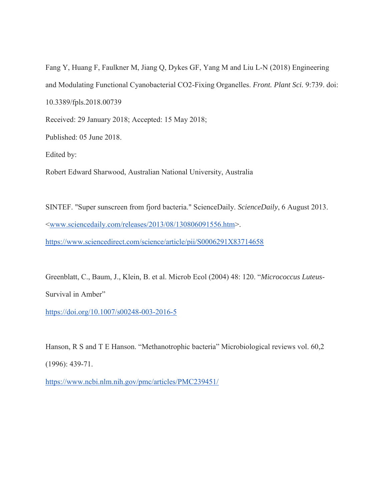Fang Y, Huang F, Faulkner M, Jiang Q, Dykes GF, Yang M and Liu L-N (2018) Engineering and Modulating Functional Cyanobacterial CO2-Fixing Organelles. *Front. Plant Sci.* 9:739. doi: 10.3389/fpls.2018.00739 Received: 29 January 2018; Accepted: 15 May 2018;

Published: 05 June 2018.

Edited by:

Robert Edward Sharwood, Australian National University, Australia

SINTEF. "Super sunscreen from fjord bacteria." ScienceDaily. *ScienceDaily*, 6 August 2013. [<www.sciencedaily.com/releases/2013/08/130806091556.htm>](http://www.sciencedaily.com/releases/2013/08/130806091556.htm). <https://www.sciencedirect.com/science/article/pii/S0006291X83714658>

Greenblatt, C., Baum, J., Klein, B. et al. Microb Ecol (2004) 48: 120. "*Micrococcus Luteus*-

Survival in Amber"

<https://doi.org/10.1007/s00248-003-2016-5>

Hanson, R S and T E Hanson. "Methanotrophic bacteria" Microbiological reviews vol. 60,2 (1996): 439-71.

<https://www.ncbi.nlm.nih.gov/pmc/articles/PMC239451/>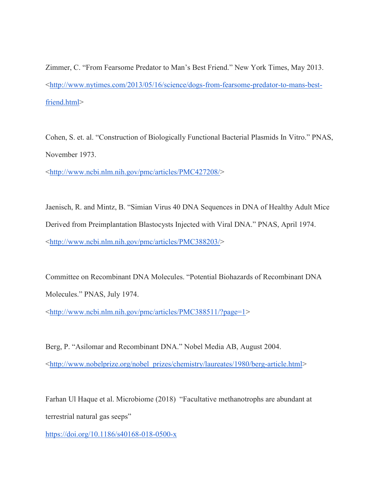Zimmer, C. "From Fearsome Predator to Man's Best Friend." New York Times, May 2013. [<http://www.nytimes.com/2013/05/16/science/dogs-from-fearsome-predator-to-mans-best](http://www.nytimes.com/2013/05/16/science/dogs-from-fearsome-predator-to-mans-best-friend.html)[friend.html>](http://www.nytimes.com/2013/05/16/science/dogs-from-fearsome-predator-to-mans-best-friend.html)

Cohen, S. et. al. "Construction of Biologically Functional Bacterial Plasmids In Vitro." PNAS, November 1973.

[<http://www.ncbi.nlm.nih.gov/pmc/articles/PMC427208/>](http://www.ncbi.nlm.nih.gov/pmc/articles/PMC427208/)

Jaenisch, R. and Mintz, B. "Simian Virus 40 DNA Sequences in DNA of Healthy Adult Mice Derived from Preimplantation Blastocysts Injected with Viral DNA." PNAS, April 1974. [<http://www.ncbi.nlm.nih.gov/pmc/articles/PMC388203/>](http://www.ncbi.nlm.nih.gov/pmc/articles/PMC388203/)

Committee on Recombinant DNA Molecules. "Potential Biohazards of Recombinant DNA Molecules." PNAS, July 1974.

[<http://www.ncbi.nlm.nih.gov/pmc/articles/PMC388511/?page=1>](http://www.ncbi.nlm.nih.gov/pmc/articles/PMC388511/?page=1)

Berg, P. "Asilomar and Recombinant DNA." Nobel Media AB, August 2004. [<http://www.nobelprize.org/nobel\\_prizes/chemistry/laureates/1980/berg-article.html>](http://www.nobelprize.org/nobel_prizes/chemistry/laureates/1980/berg-article.html)

Farhan Ul Haque et al. Microbiome (2018) "Facultative methanotrophs are abundant at terrestrial natural gas seeps"

<https://doi.org/10.1186/s40168-018-0500-x>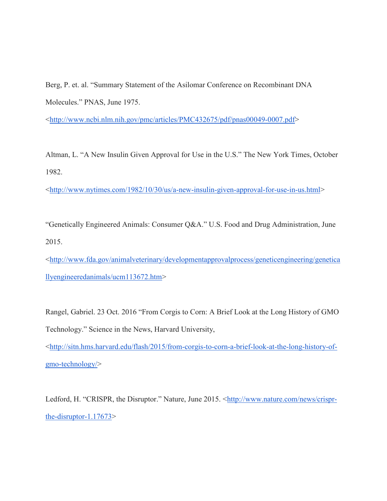Berg, P. et. al. "Summary Statement of the Asilomar Conference on Recombinant DNA Molecules." PNAS, June 1975.

[<http://www.ncbi.nlm.nih.gov/pmc/articles/PMC432675/pdf/pnas00049-0007.pdf>](http://www.ncbi.nlm.nih.gov/pmc/articles/PMC432675/pdf/pnas00049-0007.pdf)

Altman, L. "A New Insulin Given Approval for Use in the U.S." The New York Times, October 1982.

[<http://www.nytimes.com/1982/10/30/us/a-new-insulin-given-approval-for-use-in-us.html>](http://www.nytimes.com/1982/10/30/us/a-new-insulin-given-approval-for-use-in-us.html)

"Genetically Engineered Animals: Consumer Q&A." U.S. Food and Drug Administration, June 2015.

[<http://www.fda.gov/animalveterinary/developmentapprovalprocess/geneticengineering/genetica](http://www.fda.gov/animalveterinary/developmentapprovalprocess/geneticengineering/geneticallyengineeredanimals/ucm113672.htm) [llyengineeredanimals/ucm113672.htm>](http://www.fda.gov/animalveterinary/developmentapprovalprocess/geneticengineering/geneticallyengineeredanimals/ucm113672.htm)

Rangel, Gabriel. 23 Oct. 2016 "From Corgis to Corn: A Brief Look at the Long History of GMO Technology." Science in the News, Harvard University,

[<http://sitn.hms.harvard.edu/flash/2015/from-corgis-to-corn-a-brief-look-at-the-long-history-of](http://sitn.hms.harvard.edu/flash/2015/from-corgis-to-corn-a-brief-look-at-the-long-history-of-gmo-technology/)[gmo-technology/>](http://sitn.hms.harvard.edu/flash/2015/from-corgis-to-corn-a-brief-look-at-the-long-history-of-gmo-technology/)

Ledford, H. "CRISPR, the Disruptor." Nature, June 2015. [<http://www.nature.com/news/crispr](http://www.nature.com/news/crispr-the-disruptor-1.17673)[the-disruptor-1.17673>](http://www.nature.com/news/crispr-the-disruptor-1.17673)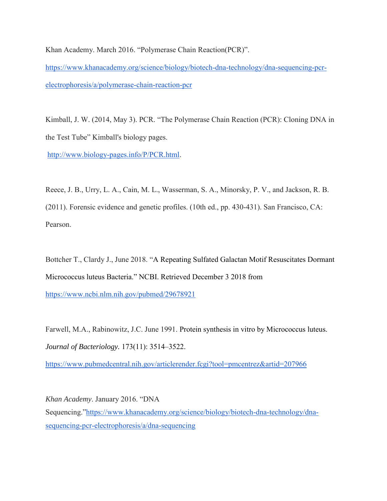Khan Academy. March 2016. "Polymerase Chain Reaction(PCR)".

[https://www.khanacademy.org/science/biology/biotech-dna-technology/dna-sequencing-pcr](https://www.khanacademy.org/science/biology/biotech-dna-technology/dna-sequencing-pcr-electrophoresis/a/polymerase-chain-reaction-pcr)[electrophoresis/a/polymerase-chain-reaction-pcr](https://www.khanacademy.org/science/biology/biotech-dna-technology/dna-sequencing-pcr-electrophoresis/a/polymerase-chain-reaction-pcr)

Kimball, J. W. (2014, May 3). PCR. "The Polymerase Chain Reaction (PCR): Cloning DNA in the Test Tube" Kimball's biology pages.

[http://www.biology-pages.info/P/PCR.html.](http://www.biology-pages.info/P/PCR.html)

Reece, J. B., Urry, L. A., Cain, M. L., Wasserman, S. A., Minorsky, P. V., and Jackson, R. B. (2011). Forensic evidence and genetic profiles. (10th ed., pp. 430-431). San Francisco, CA: Pearson.

Bottcher T., Clardy J., June 2018. "A Repeating Sulfated Galactan Motif Resuscitates Dormant Micrococcus luteus Bacteria." NCBI. Retrieved December 3 2018 from <https://www.ncbi.nlm.nih.gov/pubmed/29678921>

Farwell, M.A., Rabinowitz, J.C. June 1991. Protein synthesis in vitro by Micrococcus luteus. *Journal of Bacteriology.* 173(11): 3514–3522.

<https://www.pubmedcentral.nih.gov/articlerender.fcgi?tool=pmcentrez&artid=207966>

*Khan Academy*. January 2016. "DNA Sequencing.["https://www.khanacademy.org/science/biology/biotech-dna-technology/dna](https://www.khanacademy.org/science/biology/biotech-dna-technology/dna-sequencing-pcr-electrophoresis/a/dna-sequencing)[sequencing-pcr-electrophoresis/a/dna-sequencing](https://www.khanacademy.org/science/biology/biotech-dna-technology/dna-sequencing-pcr-electrophoresis/a/dna-sequencing)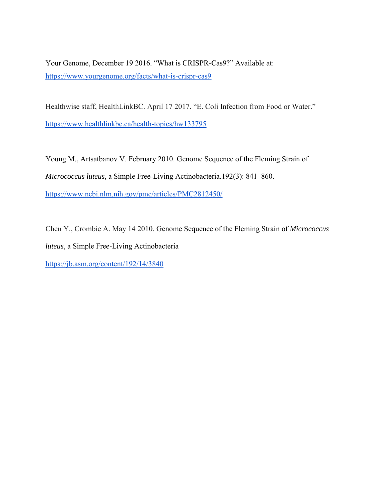Your Genome, December 19 2016. "What is CRISPR-Cas9?" Available at: <https://www.yourgenome.org/facts/what-is-crispr-cas9>

Healthwise staff, HealthLinkBC. April 17 2017. "E. Coli Infection from Food or Water."

<https://www.healthlinkbc.ca/health-topics/hw133795>

Young M., Artsatbanov V. February 2010. Genome Sequence of the Fleming Strain of *Micrococcus luteus*, a Simple Free-Living Actinobacteria.192(3): 841–860. <https://www.ncbi.nlm.nih.gov/pmc/articles/PMC2812450/>

Chen Y., Crombie A. May 14 2010. Genome Sequence of the Fleming Strain of *Micrococcus luteus*, a Simple Free-Living Actinobacteria

<https://jb.asm.org/content/192/14/3840>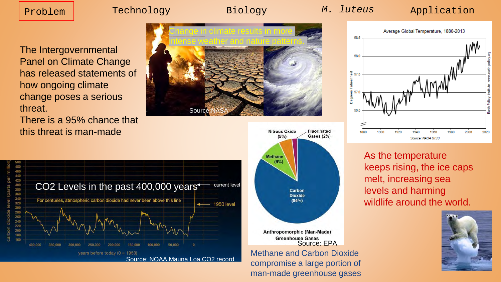The Intergovernmental Panel on Climate Change has released statements of how ongoing climate change poses a serious threat.

There is a 95% chance that this threat is man-made







Methane and Carbon Dioxide compromise a large portion of man-made greenhouse gases



As the temperature keeps rising, the ice caps melt, increasing sea levels and harming wildlife around the world.

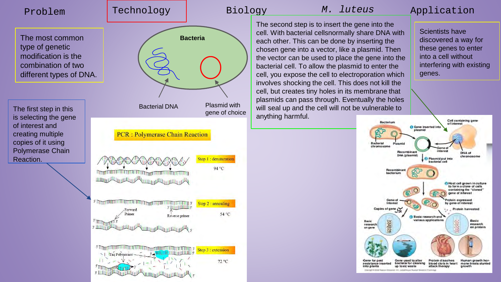**Bacteria**

The second step is to insert the gene into the cell. With bacterial cellsnormally share DNA with each other. This can be done by inserting the chosen gene into a vector, like a plasmid. Then the vector can be used to place the gene into the bacterial cell. To allow the plasmid to enter the cell, you expose the cell to electroporation which involves shocking the cell. This does not kill the cell, but creates tiny holes in its membrane that plasmids can pass through. Eventually the holes will seal up and the cell will not be vulnerable to anything harmful.

Scientists have discovered a way for these genes to enter into a cell without interfering with existing genes.

Cell containing gene Bacterium of interest **O** Gene inserted int plasmid **Roctorial** isseni. chromosome Recombinant *Infaras* DNA of DNA (plasmid) chromosome Plasmid put into hacterial call Recombina bacterium A Host cell grown in culture to form a clone of cells containing the "cloned" gene of interest mtein expressed Internet by gene of interest Copies of gene ( Protein harvested **Basic research and** various applications Basic Basic 设备究 SS<sub>2</sub> research research on protein on gent Gene used to alter resistance inserted bacteria for cleaning blood clots in heart mone treats stunted attack therapy into plants up to xic waste

The most common type of genetic modification is the combination of two different types of DNA.

The first step in this is selecting the gene of interest and creating multiple copies of it using Polymerase Chain Reaction.

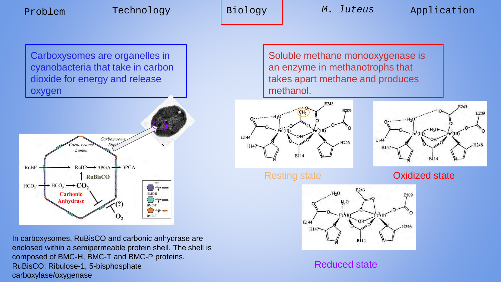Carboxysomes are organelles in cyanobacteria that take in carbon dioxide for energy and release oxygen



In carboxysomes, RuBisCO and carbonic anhydrase are enclosed within a semipermeable protein shell. The shell is composed of BMC-H, BMC-T and BMC-P proteins. RuBisCO: Ribulose-1, 5-bisphosphate carboxylase/oxygenase

Soluble methane monooxygenase is an enzyme in methanotrophs that takes apart methane and produces methanol.





Resting state **Oxidized state** 



Reduced state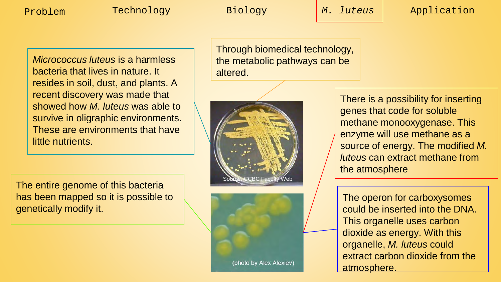*Micrococcus luteus* is a harmless bacteria that lives in nature. It resides in soil, dust, and plants. A recent discovery was made that showed how *M. luteus* was able to survive in oligraphic environments. These are environments that have little nutrients.

The entire genome of this bacteria has been mapped so it is possible to genetically modify it.

Through biomedical technology, the metabolic pathways can be altered.





There is a possibility for inserting genes that code for soluble methane monooxygenase. This enzyme will use methane as a source of energy. The modified *M. luteus* can extract methane from the atmosphere

The operon for carboxysomes could be inserted into the DNA. This organelle uses carbon dioxide as energy. With this organelle, *M. luteus* could extract carbon dioxide from the atmosphere.